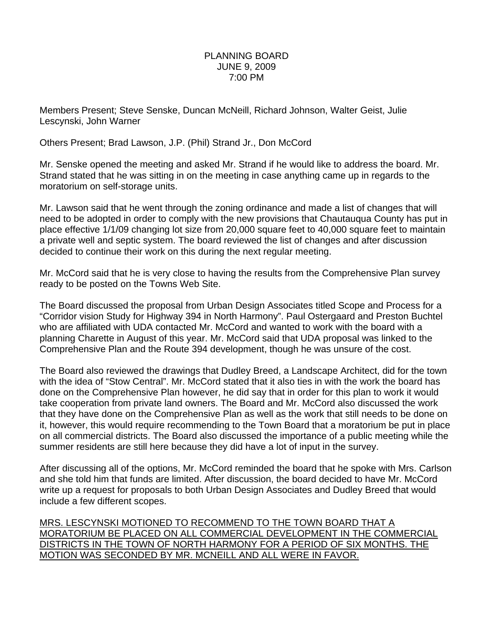## PLANNING BOARD JUNE 9, 2009 7:00 PM

Members Present; Steve Senske, Duncan McNeill, Richard Johnson, Walter Geist, Julie Lescynski, John Warner

Others Present; Brad Lawson, J.P. (Phil) Strand Jr., Don McCord

Mr. Senske opened the meeting and asked Mr. Strand if he would like to address the board. Mr. Strand stated that he was sitting in on the meeting in case anything came up in regards to the moratorium on self-storage units.

Mr. Lawson said that he went through the zoning ordinance and made a list of changes that will need to be adopted in order to comply with the new provisions that Chautauqua County has put in place effective 1/1/09 changing lot size from 20,000 square feet to 40,000 square feet to maintain a private well and septic system. The board reviewed the list of changes and after discussion decided to continue their work on this during the next regular meeting.

Mr. McCord said that he is very close to having the results from the Comprehensive Plan survey ready to be posted on the Towns Web Site.

The Board discussed the proposal from Urban Design Associates titled Scope and Process for a "Corridor vision Study for Highway 394 in North Harmony". Paul Ostergaard and Preston Buchtel who are affiliated with UDA contacted Mr. McCord and wanted to work with the board with a planning Charette in August of this year. Mr. McCord said that UDA proposal was linked to the Comprehensive Plan and the Route 394 development, though he was unsure of the cost.

The Board also reviewed the drawings that Dudley Breed, a Landscape Architect, did for the town with the idea of "Stow Central". Mr. McCord stated that it also ties in with the work the board has done on the Comprehensive Plan however, he did say that in order for this plan to work it would take cooperation from private land owners. The Board and Mr. McCord also discussed the work that they have done on the Comprehensive Plan as well as the work that still needs to be done on it, however, this would require recommending to the Town Board that a moratorium be put in place on all commercial districts. The Board also discussed the importance of a public meeting while the summer residents are still here because they did have a lot of input in the survey.

After discussing all of the options, Mr. McCord reminded the board that he spoke with Mrs. Carlson and she told him that funds are limited. After discussion, the board decided to have Mr. McCord write up a request for proposals to both Urban Design Associates and Dudley Breed that would include a few different scopes.

MRS. LESCYNSKI MOTIONED TO RECOMMEND TO THE TOWN BOARD THAT A MORATORIUM BE PLACED ON ALL COMMERCIAL DEVELOPMENT IN THE COMMERCIAL DISTRICTS IN THE TOWN OF NORTH HARMONY FOR A PERIOD OF SIX MONTHS. THE MOTION WAS SECONDED BY MR. MCNEILL AND ALL WERE IN FAVOR.